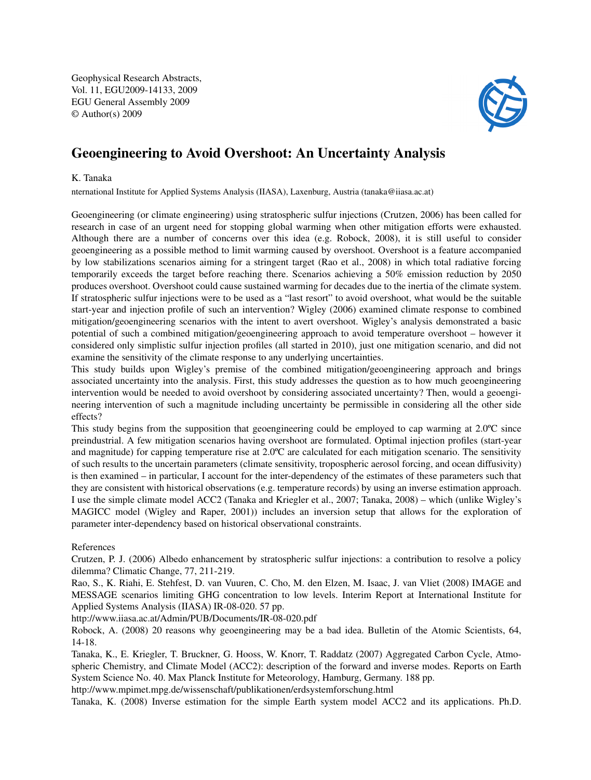Geophysical Research Abstracts, Vol. 11, EGU2009-14133, 2009 EGU General Assembly 2009 © Author(s) 2009



## Geoengineering to Avoid Overshoot: An Uncertainty Analysis

## K. Tanaka

nternational Institute for Applied Systems Analysis (IIASA), Laxenburg, Austria (tanaka@iiasa.ac.at)

Geoengineering (or climate engineering) using stratospheric sulfur injections (Crutzen, 2006) has been called for research in case of an urgent need for stopping global warming when other mitigation efforts were exhausted. Although there are a number of concerns over this idea (e.g. Robock, 2008), it is still useful to consider geoengineering as a possible method to limit warming caused by overshoot. Overshoot is a feature accompanied by low stabilizations scenarios aiming for a stringent target (Rao et al., 2008) in which total radiative forcing temporarily exceeds the target before reaching there. Scenarios achieving a 50% emission reduction by 2050 produces overshoot. Overshoot could cause sustained warming for decades due to the inertia of the climate system. If stratospheric sulfur injections were to be used as a "last resort" to avoid overshoot, what would be the suitable start-year and injection profile of such an intervention? Wigley (2006) examined climate response to combined mitigation/geoengineering scenarios with the intent to avert overshoot. Wigley's analysis demonstrated a basic potential of such a combined mitigation/geoengineering approach to avoid temperature overshoot – however it considered only simplistic sulfur injection profiles (all started in 2010), just one mitigation scenario, and did not examine the sensitivity of the climate response to any underlying uncertainties.

This study builds upon Wigley's premise of the combined mitigation/geoengineering approach and brings associated uncertainty into the analysis. First, this study addresses the question as to how much geoengineering intervention would be needed to avoid overshoot by considering associated uncertainty? Then, would a geoengineering intervention of such a magnitude including uncertainty be permissible in considering all the other side effects?

This study begins from the supposition that geoengineering could be employed to cap warming at 2.0<sup>o</sup>C since preindustrial. A few mitigation scenarios having overshoot are formulated. Optimal injection profiles (start-year and magnitude) for capping temperature rise at 2.0ºC are calculated for each mitigation scenario. The sensitivity of such results to the uncertain parameters (climate sensitivity, tropospheric aerosol forcing, and ocean diffusivity) is then examined – in particular, I account for the inter-dependency of the estimates of these parameters such that they are consistent with historical observations (e.g. temperature records) by using an inverse estimation approach. I use the simple climate model ACC2 (Tanaka and Kriegler et al., 2007; Tanaka, 2008) – which (unlike Wigley's MAGICC model (Wigley and Raper, 2001)) includes an inversion setup that allows for the exploration of parameter inter-dependency based on historical observational constraints.

## References

Crutzen, P. J. (2006) Albedo enhancement by stratospheric sulfur injections: a contribution to resolve a policy dilemma? Climatic Change, 77, 211-219.

Rao, S., K. Riahi, E. Stehfest, D. van Vuuren, C. Cho, M. den Elzen, M. Isaac, J. van Vliet (2008) IMAGE and MESSAGE scenarios limiting GHG concentration to low levels. Interim Report at International Institute for Applied Systems Analysis (IIASA) IR-08-020. 57 pp.

http://www.iiasa.ac.at/Admin/PUB/Documents/IR-08-020.pdf

Robock, A. (2008) 20 reasons why geoengineering may be a bad idea. Bulletin of the Atomic Scientists, 64, 14-18.

Tanaka, K., E. Kriegler, T. Bruckner, G. Hooss, W. Knorr, T. Raddatz (2007) Aggregated Carbon Cycle, Atmospheric Chemistry, and Climate Model (ACC2): description of the forward and inverse modes. Reports on Earth System Science No. 40. Max Planck Institute for Meteorology, Hamburg, Germany. 188 pp.

http://www.mpimet.mpg.de/wissenschaft/publikationen/erdsystemforschung.html

Tanaka, K. (2008) Inverse estimation for the simple Earth system model ACC2 and its applications. Ph.D.